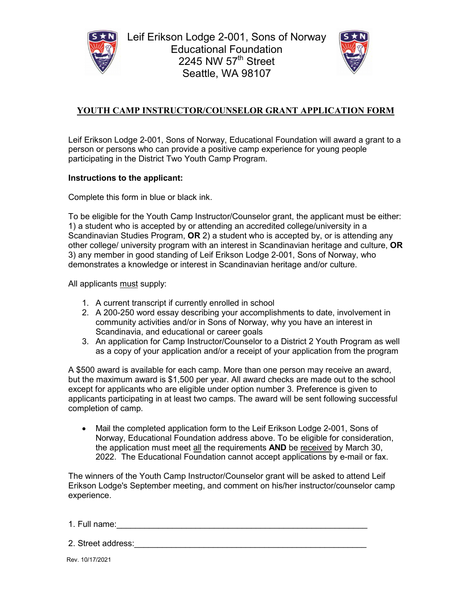



### **YOUTH CAMP INSTRUCTOR/COUNSELOR GRANT APPLICATION FORM**

Leif Erikson Lodge 2-001, Sons of Norway, Educational Foundation will award a grant to a person or persons who can provide a positive camp experience for young people participating in the District Two Youth Camp Program.

#### **Instructions to the applicant:**

Complete this form in blue or black ink.

To be eligible for the Youth Camp Instructor/Counselor grant, the applicant must be either: 1) a student who is accepted by or attending an accredited college/university in a Scandinavian Studies Program, **OR** 2) a student who is accepted by, or is attending any other college/ university program with an interest in Scandinavian heritage and culture, **OR** 3) any member in good standing of Leif Erikson Lodge 2-001, Sons of Norway, who demonstrates a knowledge or interest in Scandinavian heritage and/or culture.

All applicants must supply:

- 1. A current transcript if currently enrolled in school
- 2. A 200-250 word essay describing your accomplishments to date, involvement in community activities and/or in Sons of Norway, why you have an interest in Scandinavia, and educational or career goals
- 3. An application for Camp Instructor/Counselor to a District 2 Youth Program as well as a copy of your application and/or a receipt of your application from the program

A \$500 award is available for each camp. More than one person may receive an award, but the maximum award is \$1,500 per year. All award checks are made out to the school except for applicants who are eligible under option number 3. Preference is given to applicants participating in at least two camps. The award will be sent following successful completion of camp.

• Mail the completed application form to the Leif Erikson Lodge 2-001, Sons of Norway, Educational Foundation address above. To be eligible for consideration, the application must meet all the requirements **AND** be received by March 30, 2022. The Educational Foundation cannot accept applications by e-mail or fax.

The winners of the Youth Camp Instructor/Counselor grant will be asked to attend Leif Erikson Lodge's September meeting, and comment on his/her instructor/counselor camp experience.

1. Full name:\_\_\_\_\_\_\_\_\_\_\_\_\_\_\_\_\_\_\_\_\_\_\_\_\_\_\_\_\_\_\_\_\_\_\_\_\_\_\_\_\_\_\_\_\_\_\_\_\_\_\_\_\_\_

2. Street address: etc. and the street and the street street and the street street street street street street

Rev. 10/17/2021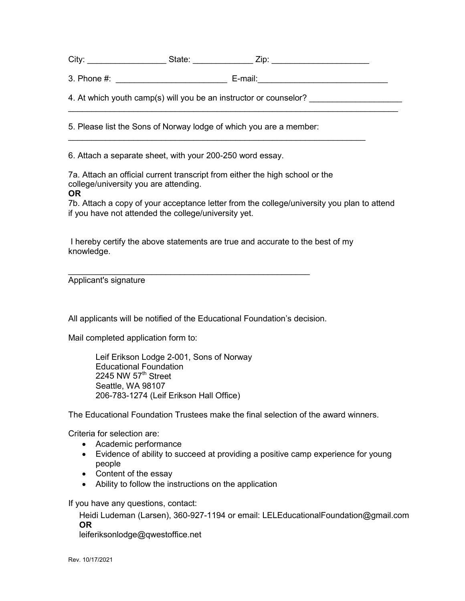City: \_\_\_\_\_\_\_\_\_\_\_\_\_\_\_\_\_\_\_\_\_\_\_\_State: \_\_\_\_\_\_\_\_\_\_\_\_\_\_\_\_\_\_\_\_Zip: \_\_\_\_\_\_\_\_\_\_\_\_\_\_\_\_\_\_\_

 $\_$ 

3. Phone #: \_\_\_\_\_\_\_\_\_\_\_\_\_\_\_\_\_\_\_\_\_\_\_\_ E-mail:\_\_\_\_\_\_\_\_\_\_\_\_\_\_\_\_\_\_\_\_\_\_\_\_\_\_\_\_

 $\_$  , and the set of the set of the set of the set of the set of the set of the set of the set of the set of the set of the set of the set of the set of the set of the set of the set of the set of the set of the set of th

4. At which youth camp(s) will you be an instructor or counselor?

5. Please list the Sons of Norway lodge of which you are a member:

6. Attach a separate sheet, with your 200-250 word essay.

7a. Attach an official current transcript from either the high school or the college/university you are attending. **OR**

#### 7b. Attach a copy of your acceptance letter from the college/university you plan to attend if you have not attended the college/university yet.

I hereby certify the above statements are true and accurate to the best of my knowledge.

\_\_\_\_\_\_\_\_\_\_\_\_\_\_\_\_\_\_\_\_\_\_\_\_\_\_\_\_\_\_\_\_\_\_\_\_\_\_\_\_\_\_\_\_\_\_\_\_\_\_\_\_ Applicant's signature

All applicants will be notified of the Educational Foundation's decision.

Mail completed application form to:

Leif Erikson Lodge 2-001, Sons of Norway Educational Foundation 2245 NW  $57<sup>th</sup>$  Street Seattle, WA 98107 206-783-1274 (Leif Erikson Hall Office)

The Educational Foundation Trustees make the final selection of the award winners.

Criteria for selection are:

- Academic performance
- Evidence of ability to succeed at providing a positive camp experience for young people
- Content of the essay
- Ability to follow the instructions on the application

If you have any questions, contact:

Heidi Ludeman (Larsen), 360-927-1194 or email: LELEducationalFoundation@gmail.com **OR**

leiferiksonlodge@qwestoffice.net